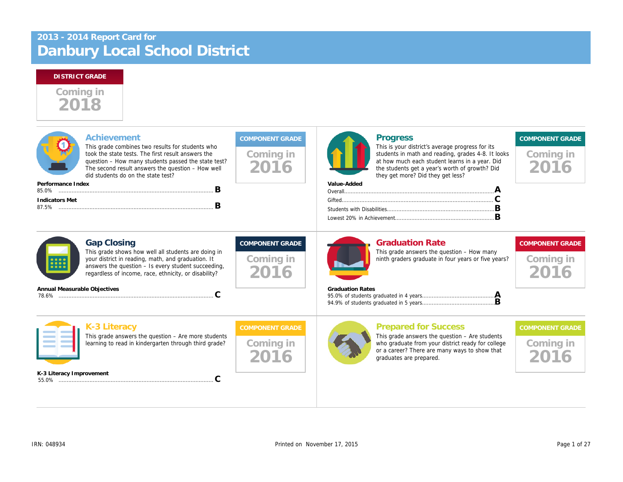# Danbury Local School District 2013 - 2014 Report Card for

# Coming in 2018

| Achievement<br>This grade combines two results for students who<br>took the state tests. The first result answers the<br>question - How many students passed the state test?<br>The second result answers the question $-$ How well<br>did students do on the state test? | Coming in<br>2016                           | <b>Progress</b><br>This is your district's average progress f<br>students in math and reading, grades 4-<br>at how much each student learns in a ye<br>the students get a year's worth of growtl<br>they get more? Did they get less?<br>Value-Added |
|---------------------------------------------------------------------------------------------------------------------------------------------------------------------------------------------------------------------------------------------------------------------------|---------------------------------------------|------------------------------------------------------------------------------------------------------------------------------------------------------------------------------------------------------------------------------------------------------|
|                                                                                                                                                                                                                                                                           |                                             |                                                                                                                                                                                                                                                      |
|                                                                                                                                                                                                                                                                           |                                             |                                                                                                                                                                                                                                                      |
| <b>Gap Closing</b><br>This grade shows how well all students are doing in<br>your district in reading, math, and graduation. It<br>answers the question - Is every student succeeding,<br>regardless of income, race, ethnicity, or disability?                           | <b>COMPONENT GRADE</b><br>Coming in<br>2016 | <b>Graduation Rate</b><br>This grade answers the question - How<br>ninth graders graduate in four years or f                                                                                                                                         |
| Annual Measurable Objectives<br>C                                                                                                                                                                                                                                         |                                             | <b>Graduation Rates</b>                                                                                                                                                                                                                              |
| K-3 Literacy<br>This grade answers the question $-$ Are more students<br>learning to read in kindergarten through third grade?                                                                                                                                            | <b>COMPONENT GRADE</b><br>Coming in         | <b>Prepared for Success</b><br>This grade answers the question $-$ Are s<br>who graduate from your district ready fo<br>or a career? There are many ways to sh<br>graduates are prepared.                                                            |
| K-3 Literacy Improvement                                                                                                                                                                                                                                                  |                                             |                                                                                                                                                                                                                                                      |
|                                                                                                                                                                                                                                                                           | в<br>В                                      |                                                                                                                                                                                                                                                      |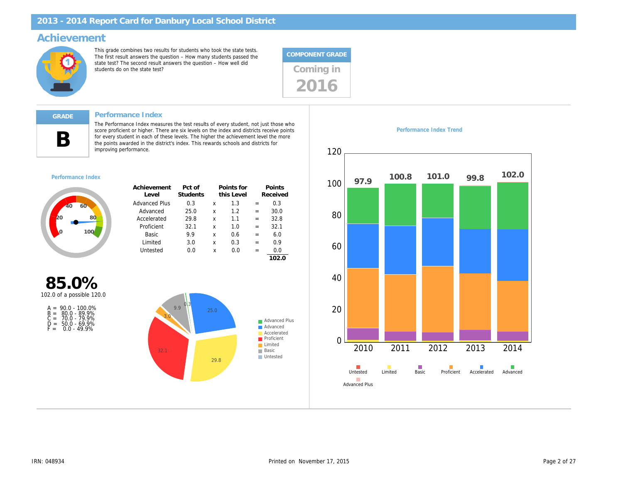### Achievement

This grade combines two results for students who took the state tests. The first result answers the question – How many students passed the state test? The second result answers the question – How well did state test? The second result answers the question – How well did<br>students do on the state test?



#### Performance Index

B

The Performance Index measures the test results of every student, not just those who score proficient or higher. There are six levels on the index and districts receive points for every student in each of these levels. The higher the achievement level the more the points awarded in the district's index. This rewards schools and districts for improving performance.

#### Performance Index

| Achievement<br>Level | Pct of<br>Students |   | Points for<br>this Level |     | Points<br>Received |
|----------------------|--------------------|---|--------------------------|-----|--------------------|
| <b>Advanced Plus</b> | 0.3                | x | 1.3                      | $=$ | 0.3                |
| Advanced             | 25.0               | x | 1.2                      | $=$ | 30.0               |
| Accelerated          | 29.8               | x | 1.1                      | $=$ | 32.8               |
| Proficient           | 32.1               | x | 1.0                      | $=$ | 32.1               |
| Basic                | 9.9                | x | 0.6                      | $=$ | 6.0                |
| I imited             | 3.0                | x | 0.3                      | $=$ | 0.9                |
| Untested             | 0.0                | x | 0.O                      | $=$ | 0.0                |
|                      |                    |   |                          |     |                    |

85.0% 102.0 of a possible 120.0

| $A =$ | $90.0 - 100.0\%$   |
|-------|--------------------|
|       | $B = 80.0 - 89.9%$ |
| $C =$ | 70.0 - 79.9%       |
| D =   | $50.0 - 69.9%$     |
| F =   | $0.0 - 49.9%$      |

Performance Index Trend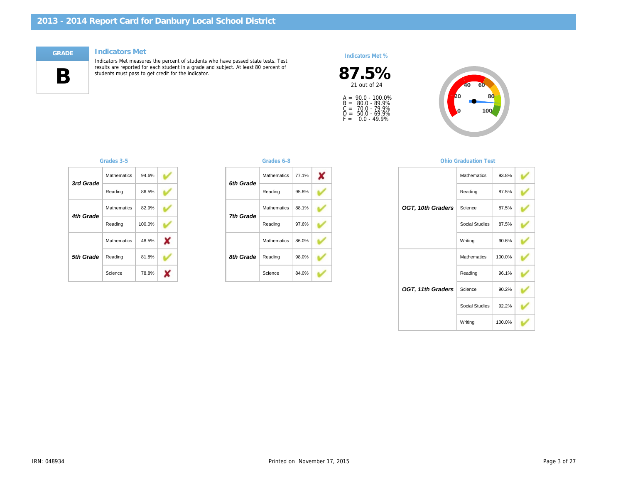#### Indicators Met



Indicators Met measures the percent of students who have passed state tests. Test results are reported for each student in a grade and subject. At least 80 percent of students must pass to get credit for the indicator.

#### Indicators Met %



A =<br>B =<br>C =<br>D =<br>F = 90.0 - 100.0% 80.0 - 89.9% 70.0 - 79.9% 50.0 - 69.9% 0.0 - 49.9%

| 3rd Grade | <b>Mathematics</b> | 94.6%  |  |
|-----------|--------------------|--------|--|
|           | Reading            | 86.5%  |  |
| 4th Grade | <b>Mathematics</b> | 82.9%  |  |
|           | Reading            | 100.0% |  |
|           | <b>Mathematics</b> | 48.5%  |  |
| 5th Grade | Reading            | 81.8%  |  |
|           | Science            | 78.8%  |  |

#### Grades 3-5 Grades 6-8

| 6th Grade | Mathematics        | 77.1% |
|-----------|--------------------|-------|
|           | Reading            | 95.8% |
| 7th Grade | <b>Mathematics</b> | 88.1% |
|           | Reading            | 97.6% |
|           | <b>Mathematics</b> | 86.0% |
| 8th Grade | Reading            | 98.0% |
|           | Science            | 84.0% |

#### **Ohio Graduation**

|                   | Mathemati  |
|-------------------|------------|
|                   | Reading    |
| OGT, 10th Graders | Science    |
|                   | Social Stu |
|                   | Writing    |
|                   | Mathemati  |
|                   | Reading    |
| OGT, 11th Graders | Science    |
|                   | Social Stu |
|                   | Writing    |
|                   |            |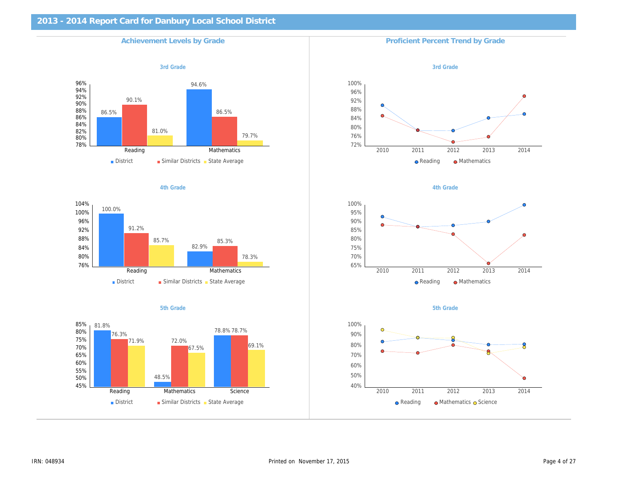| <b>Achievement Levels by Grade</b> | <b>Proficient Percent Trend by Gra</b> |
|------------------------------------|----------------------------------------|
| 3rd Grade                          | 3rd Grade                              |
|                                    |                                        |
|                                    |                                        |
|                                    |                                        |
|                                    |                                        |
|                                    |                                        |
| 4th Grade                          | 4th Grade                              |
|                                    |                                        |
|                                    |                                        |
|                                    |                                        |
|                                    |                                        |
| 5th Grade                          | 5th Grade                              |
|                                    |                                        |
|                                    |                                        |
|                                    |                                        |
|                                    |                                        |
|                                    |                                        |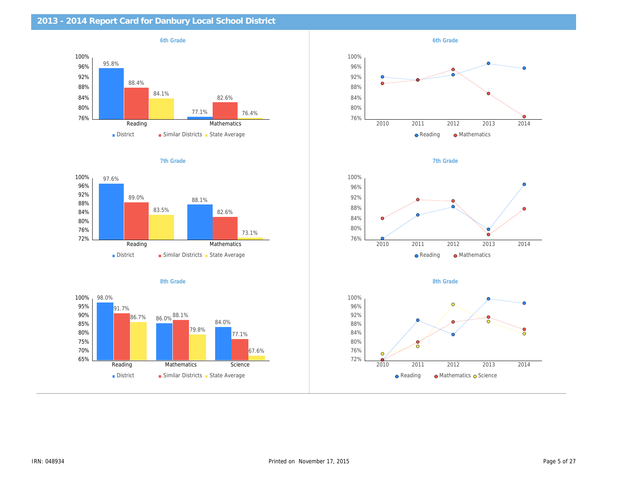| 2013 - 2014 Report Card for Danbury Local School District |           |
|-----------------------------------------------------------|-----------|
| 6th Grade                                                 | 6th Grade |
|                                                           |           |
|                                                           |           |
|                                                           |           |
|                                                           |           |
|                                                           |           |
|                                                           |           |
| 7th Grade                                                 | 7th Grade |
|                                                           |           |
|                                                           |           |
|                                                           |           |
|                                                           |           |
|                                                           |           |
| 8th Grade                                                 | 8th Grade |
|                                                           |           |
|                                                           |           |
|                                                           |           |
|                                                           |           |
|                                                           |           |
|                                                           |           |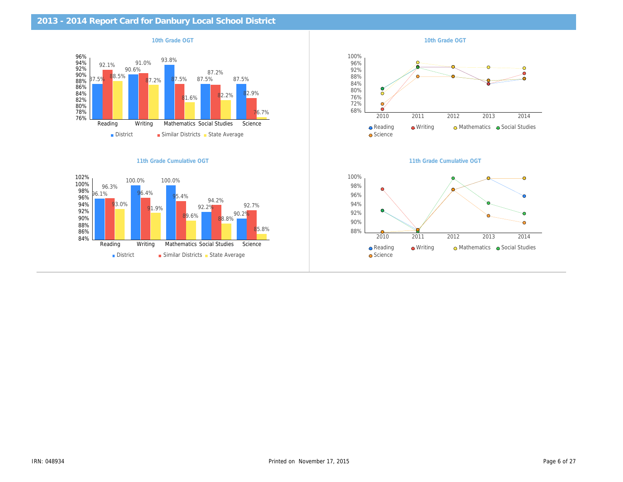| 2013 - 2014 Report Card for Danbury Local School District |                           |
|-----------------------------------------------------------|---------------------------|
| 10th Grade OGT                                            | 10th Grade OGT            |
|                                                           |                           |
|                                                           |                           |
|                                                           |                           |
|                                                           |                           |
|                                                           |                           |
|                                                           |                           |
| 11th Grade Cumulative OGT                                 | 11th Grade Cumulative OG1 |
|                                                           |                           |
|                                                           |                           |
|                                                           |                           |
|                                                           |                           |
|                                                           |                           |
|                                                           |                           |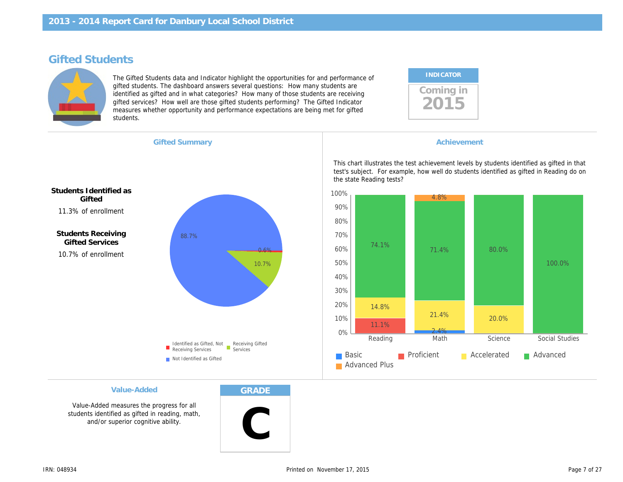## Gifted Students

The Gifted Students data and Indicator highlight the opportunities for and performance of gifted students. The dashboard answers several questions: How many students are identified as gifted and in what categories? How many of those students are receiving gifted services? How well are those gifted students performing? The Gifted Indicator measures whether opportunity and performance expectations are being met for gifted students.

| <b>INDICATOR</b> |  |
|------------------|--|
| coming in        |  |

Gifted Summary **Achievement Achievement Achievement** 

11.3% of enrollment Students Identified as **Gifted** 

10.7% of enrollment Students Receiving Gifted Services

This chart illustrates the test achievement levels by test's subject. For example, how well do students i the state Reading tests?

#### Value-Added

Value-Added measures the progress for all students identified as gifted in reading, math, and/or superior cognitive ability.

GRADE

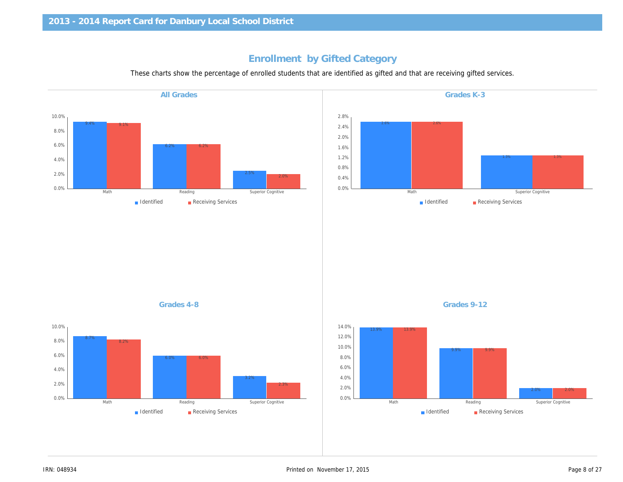## Enrollment by Gifted Category

These charts show the percentage of enrolled students that are identified as gifted and that are receiving gifted

All Grades

Grades 4-8 Grades 9-12

Grades K-3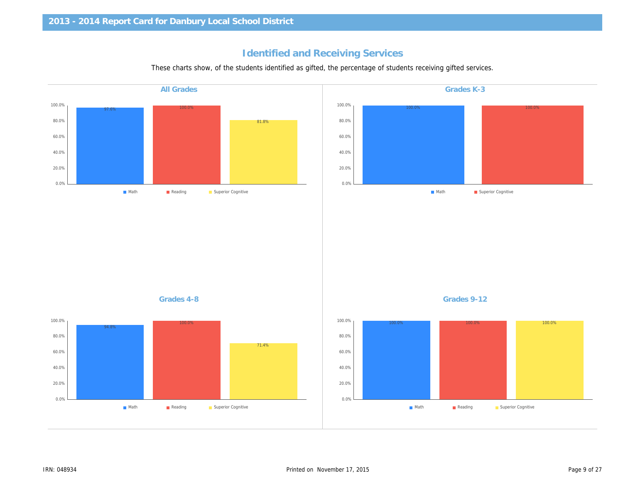## Identified and Receiving Services

These charts show, of the students identified as gifted, the percentage of students receiving gifted service

| <b>All Grades</b> | Grades K-3  |
|-------------------|-------------|
|                   |             |
|                   |             |
|                   |             |
|                   |             |
|                   |             |
|                   |             |
|                   |             |
|                   |             |
|                   |             |
|                   |             |
|                   |             |
|                   |             |
|                   |             |
|                   |             |
|                   |             |
|                   |             |
|                   |             |
| Grades 4-8        | Grades 9-12 |
|                   |             |
|                   |             |
|                   |             |
|                   |             |
|                   |             |
|                   |             |
|                   |             |
|                   |             |
|                   |             |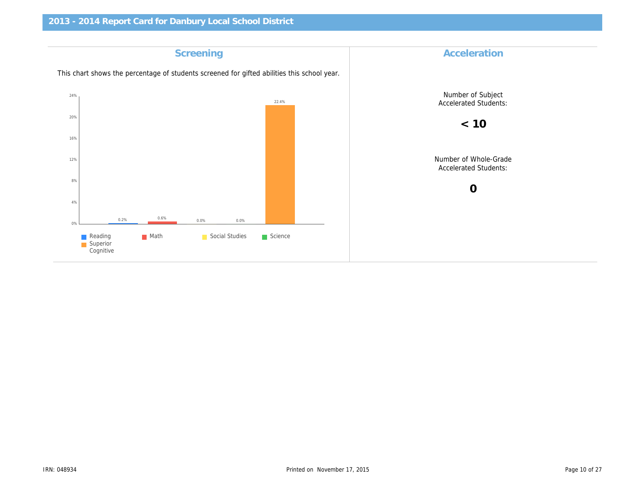| Accelerat                            | Screening                                                                                   |
|--------------------------------------|---------------------------------------------------------------------------------------------|
|                                      | This chart shows the percentage of students screened for gifted abilities this school year. |
| Number of S<br>Accelerated S         |                                                                                             |
| < 10                                 |                                                                                             |
| Number of Wh<br><b>Accelerated S</b> |                                                                                             |
| $\mathbf 0$                          |                                                                                             |
|                                      |                                                                                             |
|                                      |                                                                                             |
|                                      |                                                                                             |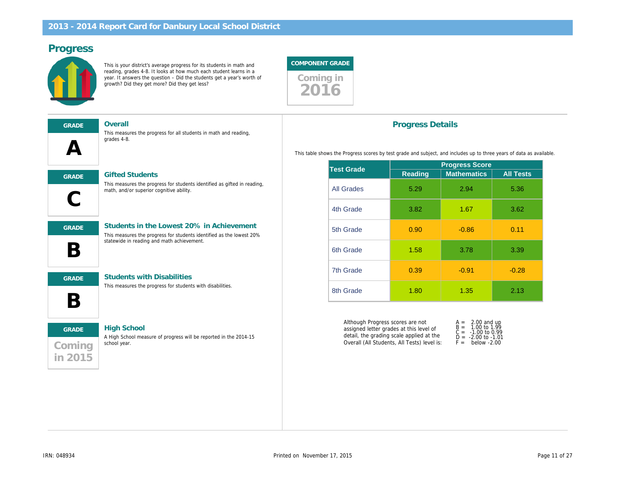## Progress

This is your district's average progress for its students in math and reading, grades 4-8. It looks at how much each student learns in a year. It answers the question – Did the students get a year's worth of growth? Did they get more? Did they get less?



| GRADE                          |
|--------------------------------|
| $\boldsymbol{\mathsf{\Delta}}$ |
|                                |
|                                |

Overall

**Gifted Students** 

This measures the progress for all students in math and reading, grades 4-8.

| <b>GRADE</b> |  |  |
|--------------|--|--|
|              |  |  |
|              |  |  |
| <b>GRADE</b> |  |  |

Students in the Lowest 20% in Achievement

This measures the progress for students identified as the lowest 20% statewide in reading and math achievement.

This measures the progress for students identified as gifted in reading,



B

GRADE Students with Disabilities

math, and/or superior cognitive ability.

This measures the progress for students with disabilities.

# Coming in 2015 GRADE High School

A High School measure of progress will be reported in the 2014-15 school year.

### Progress Details

This table shows the Progress scores by test grade and subject, and includes up to

| <b>Test Grade</b> | <b>Progress Sco</b> |                   |  |  |
|-------------------|---------------------|-------------------|--|--|
|                   | Reading             | <b>Mathematic</b> |  |  |
| <b>All Grades</b> | 5.29                | 2.94              |  |  |
| 4th Grade         | 3.82                | 1.67              |  |  |
| 5th Grade         | 0.90                | $-0.86$           |  |  |
| 6th Grade         | 1.58                | 3.78              |  |  |
| 7th Grade         | 0.39                | $-0.91$           |  |  |
| 8th Grade         | 1.80                | 1.35              |  |  |

Although Progress scores are not assigned letter grades at this level of detail, the grading scale applied at the Overall (All Students, All Tests) level is:  $A = 2.00$ B = 1.00<br>C = -1.00<br>D = -2.00  $F =$  belo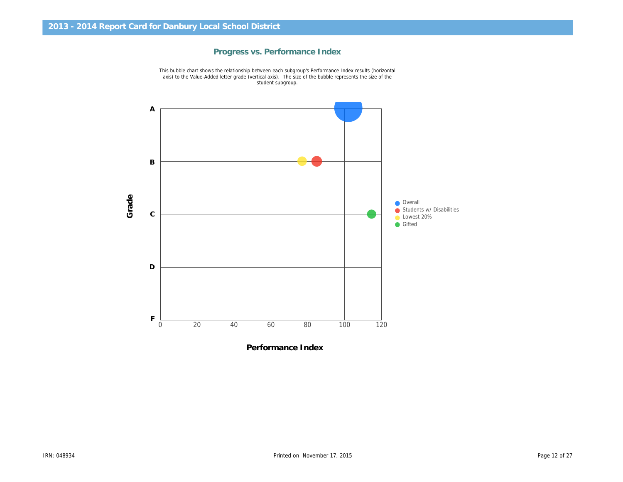

Progress vs. Performance Index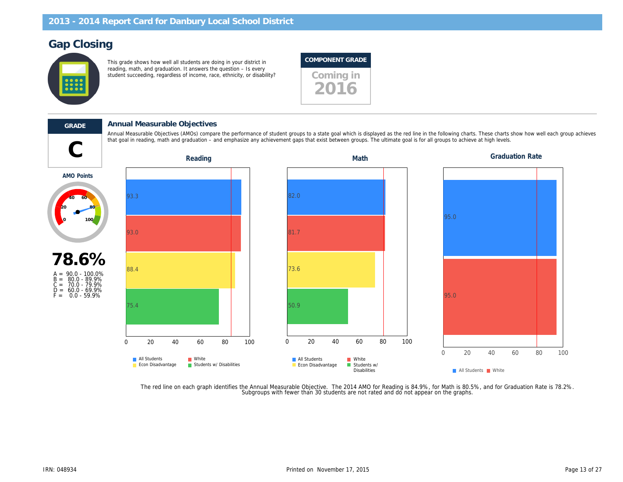## Gap Closing

This grade shows how well all students are doing in your district in reading, math, and graduation. It answers the question – Is every reading, main, and graduation. It answers the question to every student succeeding, regardless of income, race, ethnicity, or disability?

### COMPONENT GRADE

2016

#### GRADE Annual Measurable Objectives

that goal in reading, math and graduation – and emphasize any achievement gaps that exist between groups. The ultimate goal is for all groups to achieve at high levels.<br>Reading Math levels. Annual Measurable Objectives (AMOs) compare the performance of student groups to a state goal which is displayed as the red line in the following charts. These charts of the following charts of the red each group achieves

AMO Points



The red line on each graph identifies the Annual Measurable Objective. The 2014 AMO for Reading is 84.9%, for Math is 80.5%,<br>Subgroups with fewer than 30 students are not rated and do not appear on the graphs.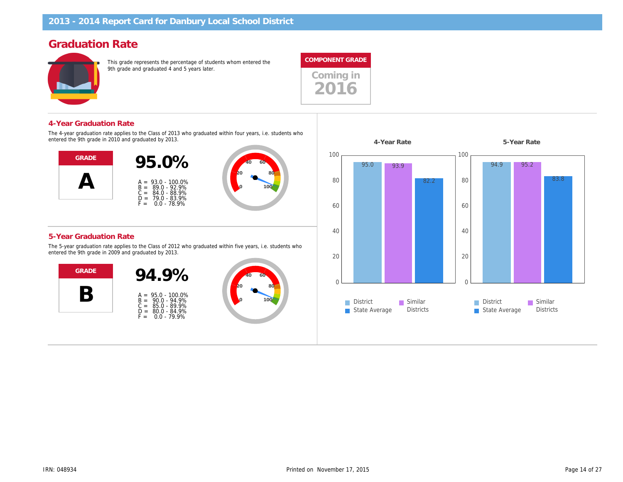## Graduation Rate

This grade represents the percentage of students whom entered the 9th grade and graduated 4 and 5 years later.



Coming in 2016

#### 4-Year Graduation Rate

The 4-year graduation rate applies to the Class of 2013 who graduated within four years, i.e. students who entered the 9th grade in 2010 and graduated by 2013.



#### 5-Year Graduation Rate

The 5-year graduation rate applies to the Class of 2012 who graduated within five years, i.e. students who entered the 9th grade in 2009 and graduated by 2013.



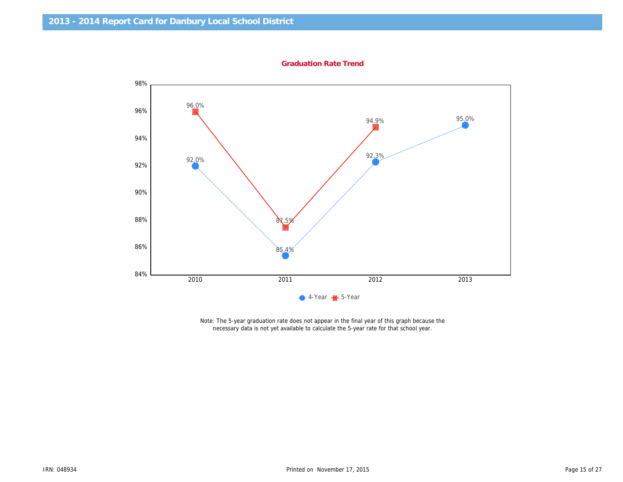Graduation Rate Trend

Note: The 5-year graduation rate does not appear in the final year of this graph because the necessary data is not yet available to calculate the 5-year rate for that school year.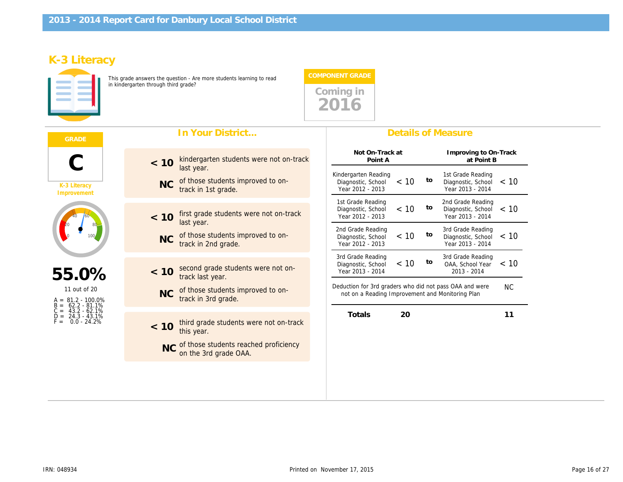## K-3 Literacy

This grade answers the question - Are more students learning to read in kindergarten through third grade?



|                                                               | In Your District                                                      | <b>Details of Measure</b>                                                                                                     |
|---------------------------------------------------------------|-----------------------------------------------------------------------|-------------------------------------------------------------------------------------------------------------------------------|
|                                                               | kindergarten students were not on-track<br>< 10<br>last year.         | Not On-Track at<br>Improving to<br>Point A<br>at Poi<br>Kindergarten Reading<br>1st Grade Rea                                 |
| K-3 Literacy<br>Improvement                                   | of those students improved to on-<br><b>NC</b><br>track in 1st grade. | to<br>Diagnostic, School $<$ 10<br>Diagnostic, So<br>Year 2012 - 2013<br>Year 2013 - 2                                        |
|                                                               | first grade students were not on-track<br>< 10<br>last year.          | 2nd Grade Rea<br>1st Grade Reading<br>to<br>< 10<br>Diagnostic, School<br>Diagnostic, So<br>Year 2012 - 2013<br>Year 2013 - 2 |
|                                                               | of those students improved to on-<br><b>NC</b><br>track in 2nd grade. | 2nd Grade Reading<br>3rd Grade Rea<br>to<br>< 10<br>Diagnostic, School<br>Diagnostic, Sc<br>Year 2012 - 2013<br>Year 2013 - 2 |
| 55.0%                                                         | second grade students were not on-<br>< 10<br>track last year.        | 3rd Grade Rea<br>3rd Grade Reading<br>< 10<br>to<br>OAA, School<br>Diagnostic, School<br>Year 2013 - 2014<br>$2013 - 2014$    |
| 11 out of 20<br>$A = 81.2 - 100.0\%$<br>62.2 - 81.1%<br>$B =$ | of those students improved to on-<br><b>NC</b><br>track in 3rd grade. | Deduction for 3rd graders who did not pass OAA and we<br>not on a Reading Improvement and Monitoring Plan                     |
| $C =$<br>43.2 - 62.1%<br>$D = 24.3 - 43.1\%$<br>$0.0 - 24.2%$ | third grade students were not on-track<br>< 10<br>this year.          | 20<br><b>Totals</b>                                                                                                           |
|                                                               | NC of those students reached proficiency<br>on the 3rd grade OAA.     |                                                                                                                               |
|                                                               |                                                                       |                                                                                                                               |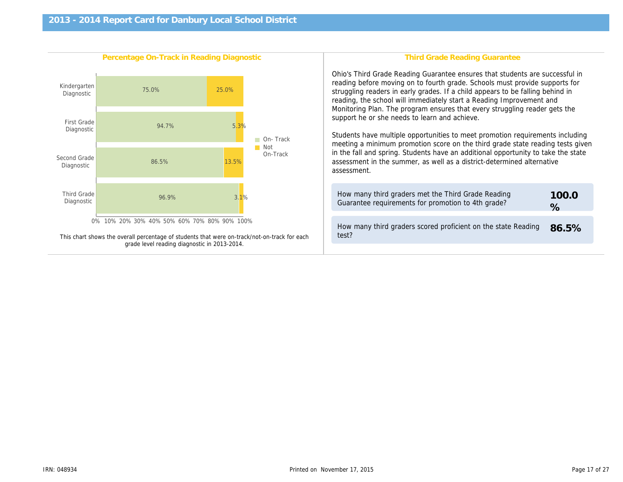| Percentage On-Track in Reading Diagnostic                                                    | <b>Third Grade Reading Gr</b>                                                                                                                                                                                                                                                                                                                                                                                                                                                                                                   |
|----------------------------------------------------------------------------------------------|---------------------------------------------------------------------------------------------------------------------------------------------------------------------------------------------------------------------------------------------------------------------------------------------------------------------------------------------------------------------------------------------------------------------------------------------------------------------------------------------------------------------------------|
|                                                                                              | Ohio's Third Grade Reading Guarantee ensure<br>reading before moving on to fourth grade. Scho<br>struggling readers in early grades. If a child ap<br>reading, the school will immediately start a Rea<br>Monitoring Plan. The program ensures that eve<br>support he or she needs to learn and achieve.<br>Students have multiple opportunities to meet p<br>meeting a minimum promotion score on the thi<br>in the fall and spring. Students have an additio<br>assessment in the summer, as well as a distric<br>assessment. |
|                                                                                              | How many third graders met the Third Grade<br>Guarantee requirements for promotion to 4th                                                                                                                                                                                                                                                                                                                                                                                                                                       |
| This chart shows the overall percentage of students that were on-track/not-on-track for each | How many third graders scored proficient on<br>test?                                                                                                                                                                                                                                                                                                                                                                                                                                                                            |
| grade level reading diagnostic in 2013-2014.                                                 |                                                                                                                                                                                                                                                                                                                                                                                                                                                                                                                                 |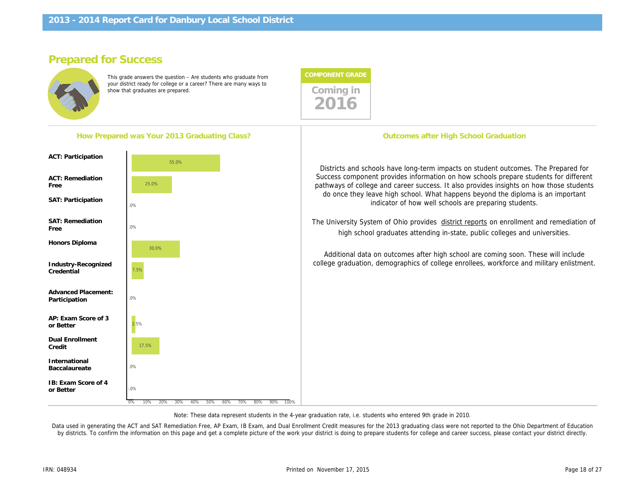How Prepared was Your 2013 Graduating Class?

## Prepared for Success

ACT: Participation

ACT: Remediation

SAT: Participation

SAT: Remediation

Honors Diploma

Industry-Recognized **Credential** 

Advanced Placement: Participation

AP: Exam Score of 3

Dual Enrollment Credit

IB: Exam Score of 4

International Baccalaureate

or Better

or Better

Free

Free

This grade answers the question – Are students who graduate from your district ready for college or a career? There are many ways to show that graduates are prepared. There are many ways to coming in



2016

The University System of Ohio provides district report high school graduates attending in-state, pub

Additional data on outcomes after high school are college graduation, demographics of college enrollee

Note: These data represent students in the 4-year graduation rate, i.e. students who entered 9th grade in 2010.

Data used in generating the ACT and SAT Remediation Free, AP Exam, IB Exam, and Dual Enrollment Credit measures for the 2013 graduating class were not re by districts. To confirm the information on this page and get a complete picture of the work your district is doing to prepare students for college and career succes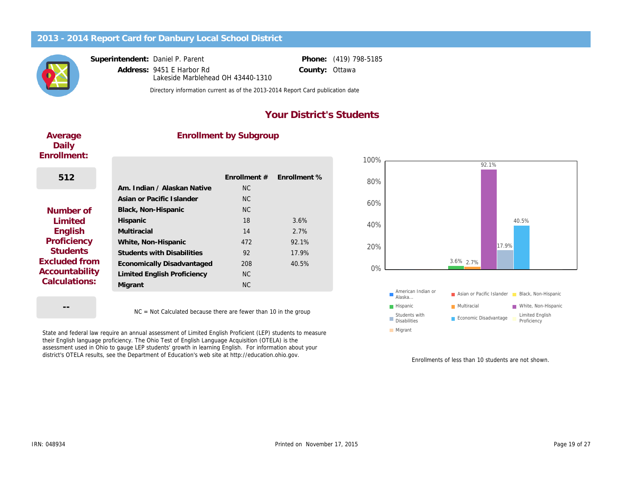Superintendent: Daniel P. Parent

Address: 9451 E Harbor Rd County: Lakeside Marblehead OH 43440-1310

Phone: (419) 798-5185 **Ottawa** 

Directory information current as of the 2013-2014 Report Card publication date

## Your District's Students

| Average<br>Daily<br>Enrollment: | <b>Enrollment by Subgroup</b>     |              |              |
|---------------------------------|-----------------------------------|--------------|--------------|
|                                 |                                   |              |              |
| 512                             |                                   | Enrollment # | Enrollment % |
|                                 | Am. Indian / Alaskan Native       | <b>NC</b>    |              |
|                                 | Asian or Pacific Islander         | NC.          |              |
| Number of                       | Black, Non-Hispanic               | <b>NC</b>    |              |
| Limited                         | Hispanic                          | 18           | 3.6%         |
| English                         | Multiracial                       | 14           | 2.7%         |
| Proficiency                     | White, Non-Hispanic               | 472          | 92.1%        |
| <b>Students</b>                 | <b>Students with Disabilities</b> | 92           | 17.9%        |
| Excluded from                   | Economically Disadvantaged        | 208          | 40.5%        |
| Accountability<br>Calculations: | Limited English Proficiency       | <b>NC</b>    |              |
|                                 | Migrant                           | <b>NC</b>    |              |
|                                 |                                   |              |              |

NC = Not Calculated because there are fewer than 10 in the group

State and federal law require an annual assessment of Limited English Proficient (LEP) students to measure their English language proficiency. The Ohio Test of English Language Acquisition (OTELA) is the assessment used in Ohio to gauge LEP students' growth in learning English. For information about your district's OTELA results, see the Department of Education's web site at http://education.ohio.gov.

Enrollments of less than 1

--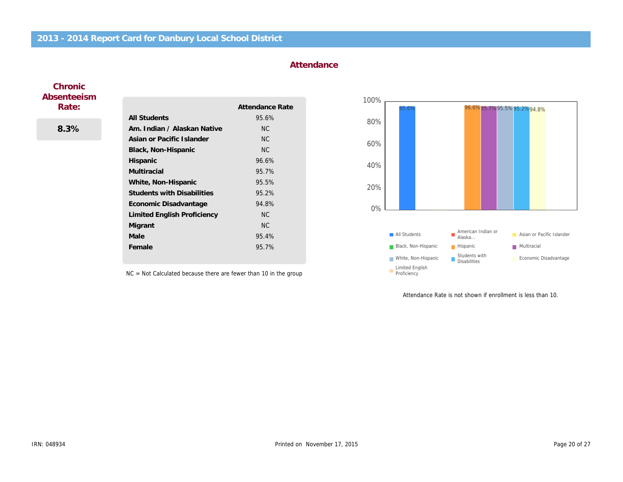### **Attendance**

### **Chronic** Absenteeism Rate:

8.3%

|                                    | Attendance Rate |
|------------------------------------|-----------------|
| <b>All Students</b>                | 95.6%           |
| Am. Indian / Alaskan Native        | NC.             |
| Asian or Pacific Islander          | <b>NC</b>       |
| Black, Non-Hispanic                | <b>NC</b>       |
| <b>Hispanic</b>                    | 96.6%           |
| Multiracial                        | 95.7%           |
| White, Non-Hispanic                | 95.5%           |
| <b>Students with Disabilities</b>  | 95.2%           |
| Economic Disadvantage              | 94.8%           |
| <b>Limited English Proficiency</b> | <b>NC</b>       |
| Migrant                            | NC.             |
| Male                               | 95.4%           |
| Female                             | 95.7%           |

NC = Not Calculated because there are fewer than 10 in the group

Attendance Rate is not shown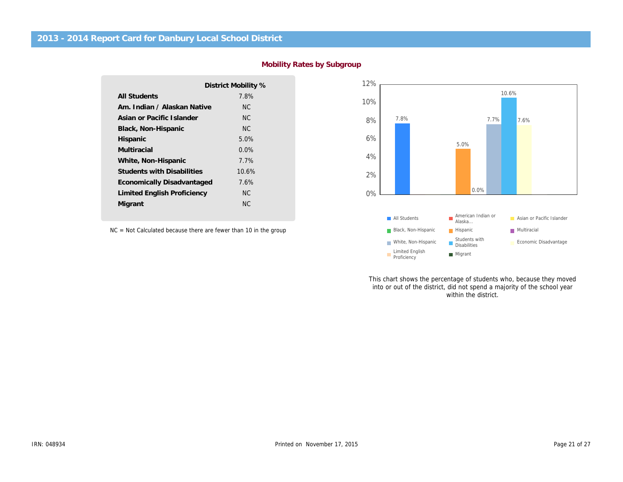|                                   | District Mobility % |
|-----------------------------------|---------------------|
| <b>All Students</b>               | 7.8%                |
| Am. Indian / Alaskan Native       | NC.                 |
| Asian or Pacific Islander         | NC.                 |
| Black, Non-Hispanic               | NC.                 |
| Hispanic                          | $5.0\%$             |
| Multiracial                       | $0.0\%$             |
| White, Non-Hispanic               | 7.7%                |
| <b>Students with Disabilities</b> | 10.6%               |
| Economically Disadvantaged        | 7.6%                |
| Limited English Proficiency       | ΝC                  |
| Migrant                           | ΝC                  |
|                                   |                     |

NC = Not Calculated because there are fewer than 10 in the group

This chart shows the percentage of stu into or out of the district, did not spend within the di

Mobility Rates by Subgroup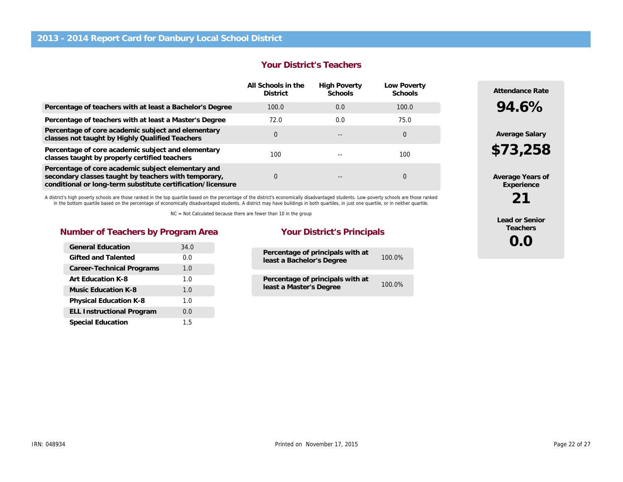#### Your District's Teachers

|                                                                                                                                                                           | All Schools in the<br><b>District</b> | <b>High Poverty</b><br>Schools | Low Poverty<br><b>Schools</b> |
|---------------------------------------------------------------------------------------------------------------------------------------------------------------------------|---------------------------------------|--------------------------------|-------------------------------|
| Percentage of teachers with at least a Bachelor's Degree                                                                                                                  | 100.0                                 | 0.0                            | 100.0                         |
| Percentage of teachers with at least a Master's Degree                                                                                                                    | 72.0                                  | 0.0                            | 75.0                          |
| Percentage of core academic subject and elementary<br>classes not taught by Highly Qualified Teachers                                                                     | $\Omega$                              |                                | 0                             |
| Percentage of core academic subject and elementary<br>classes taught by properly certified teachers                                                                       | 100                                   |                                | 100                           |
| Percentage of core academic subject elementary and<br>secondary classes taught by teachers with temporary,<br>conditional or long-term substitute certification/licensure | 0                                     |                                | 0                             |

A district's high poverty schools are those ranked in the top quartile based on the percentage of the district's economically disadvantaged students. Low-poverty schools are those ranked in the bottom quartile based on the percentage of economically disadvantaged students. A district may have buildings in both quartiles, in just one quartile, or in neither quartile.

NC = Not Calculated because there are fewer than 10 in the group

### Number of Teachers by Program Area Your District's Principals

| <b>General Education</b>         | 34.0 |
|----------------------------------|------|
| Gifted and Talented              | 0.0  |
| Career-Technical Programs        | 1.0  |
| Art Education K-8                | 1.0  |
| Music Education K-8              | 1.0  |
| <b>Physical Education K-8</b>    | 1.0  |
| <b>ELL Instructional Program</b> | 0.0  |
| <b>Special Education</b>         | 1.5  |

| Percentage of principals with at<br>least a Bachelor's Degree | 100.0% |
|---------------------------------------------------------------|--------|
| Percentage of principals with at<br>least a Master's Degree   | 100.0% |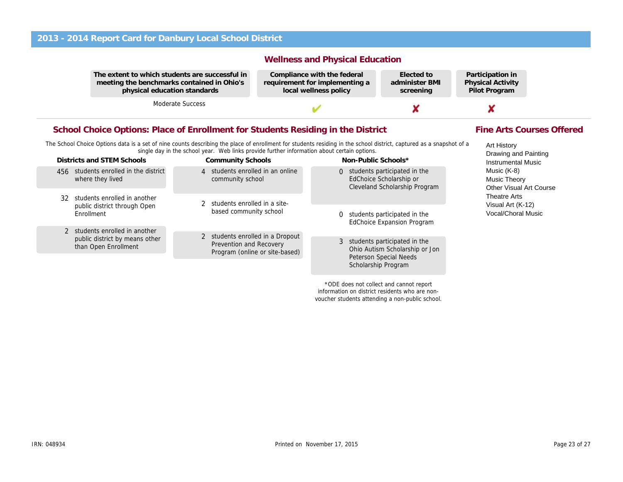The extent to which students are successful in meeting the benchmarks contained in Ohio's physical education standards

Moderate Success

### Wellness and Physical Education

Compliance with the federal requirement for implementing a local wellness policy

Elected to administer BMI screening

Partio Physi Pilot

Fine Arts Courses Offered

### School Choice Options: Place of Enrollment for Students Residing in the District

The School Choice Options data is a set of nine counts describing the place of enrollment for students residing in the school district, captured as a snapshot of a single day in the school year. Web links provide further information about certain options.

| Districts and STEM Schools                                |                        | <b>Community Schools</b>                                                                             |                                                                   | Non-Public Schools*                                                                                                      |
|-----------------------------------------------------------|------------------------|------------------------------------------------------------------------------------------------------|-------------------------------------------------------------------|--------------------------------------------------------------------------------------------------------------------------|
| 456 students enrolled in the district<br>where they lived |                        | 4 students enrolled in an online<br>community school                                                 |                                                                   | 0 students participated in the<br>EdChoice Scholarship or<br>Cleveland Scholarship Program                               |
| 32 students enrolled in another                           |                        | 2 students enrolled in a site-                                                                       |                                                                   |                                                                                                                          |
| public district through Open<br>Enrollment                | based community school | $\Omega$                                                                                             | students participated in the<br><b>EdChoice Expansion Program</b> |                                                                                                                          |
| 2 students enrolled in another                            |                        |                                                                                                      |                                                                   |                                                                                                                          |
| public district by means other<br>than Open Enrollment    |                        | 2 students enrolled in a Dropout<br><b>Prevention and Recovery</b><br>Program (online or site-based) |                                                                   | 3 students participated in the<br>Ohio Autism Scholarship or Jon<br><b>Peterson Special Needs</b><br>Scholarship Program |
|                                                           |                        |                                                                                                      |                                                                   |                                                                                                                          |

\*ODE does not collect and cannot report information on district residents who are nonvoucher students attending a non-public school.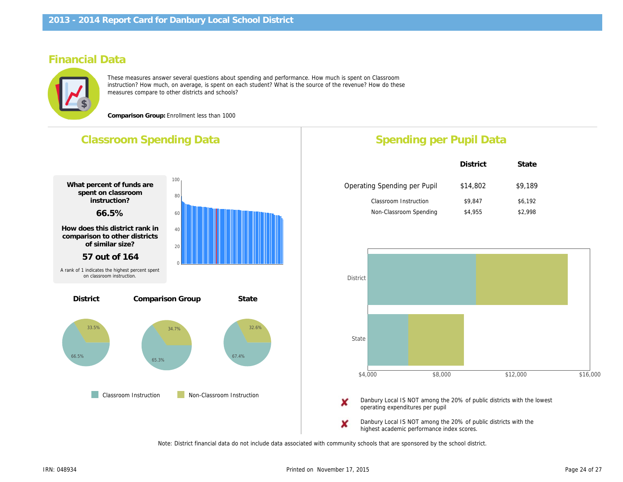## Financial Data

These measures answer several questions about spending and performance. How much is spent on Classroom instruction? How much, on average, is spent on each student? What is the source of the revenue? How do these measures compare to other districts and schools?

Comparison Group: Enrollment less than 1000

## Classroom Spending Data What percent of funds are spent on classroom instruction? 66.5% How does this district rank in comparison to other districts of similar size? 57 out of 164 Comparison Group State **Classroom Instruction** Non-Classroom Instruction **District** A rank of 1 indicates the highest percent spent on classroom instruction. Spending per Pupil Da District Operating Spending per Pupil \$14,80 Classroom Instruction \$9,847 Non-Classroom Spending \$4,955 Danbury Local IS NOT among the 20% of pub operating expenditures per pupil Danbury Local IS NOT among the 20% of public Danbury

highest academic performance index scores.

Note: District financial data do not include data associated with community schools that are sponsored by the school district.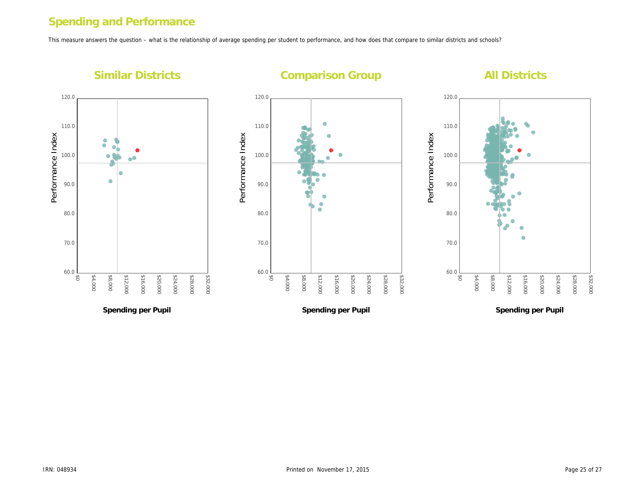## Spending and Performance

This measure answers the question – what is the relationship of average spending per student to performance, and how does that compare to similar districts and s

Performance Index

Performance Index

Similar Districts

## Comparison Group

Spending per Pupil

Spending per Pupil

Performance Index Performance Index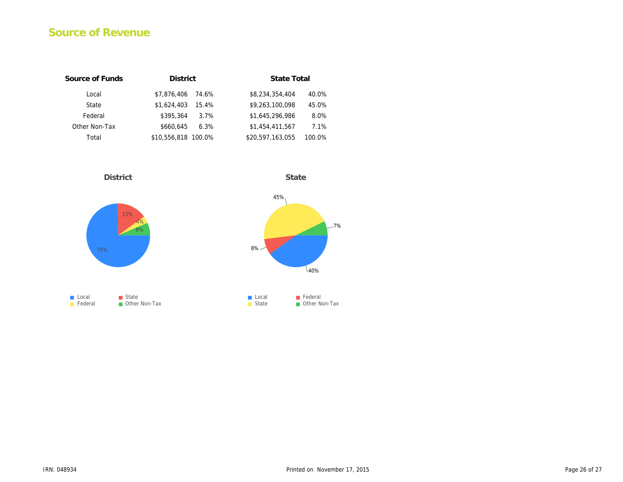## Source of Revenue

| Source of Funds | <b>District</b>      | State Total                |
|-----------------|----------------------|----------------------------|
| Local           | \$7,876,406<br>74.6% | \$8,234,354,404<br>40.0%   |
| State           | \$1.624.403<br>15.4% | \$9,263,100,098<br>45.0%   |
| Federal         | \$395.364<br>$3.7\%$ | \$1.645.296.986<br>8.0%    |
| Other Non-Tax   | \$660.645<br>6.3%    | \$1.454.411.567<br>7.1%    |
| Total           | \$10,556,818 100.0%  | \$20,597,163,055<br>100.0% |